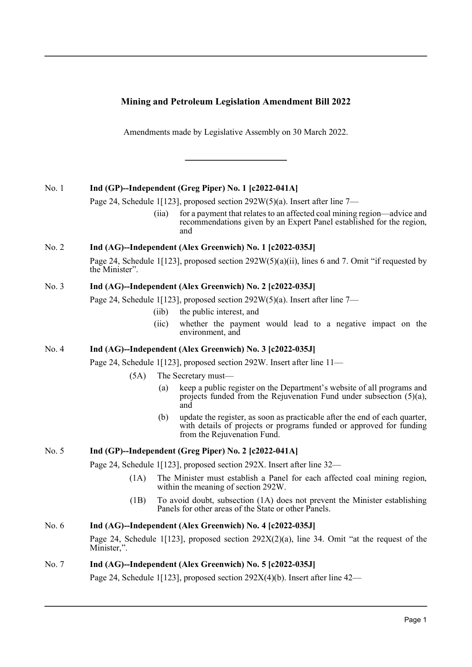# **Mining and Petroleum Legislation Amendment Bill 2022**

Amendments made by Legislative Assembly on 30 March 2022.

# No. 1 **Ind (GP)--Independent (Greg Piper) No. 1 [c2022-041A]**

Page 24, Schedule 1[123], proposed section 292W(5)(a). Insert after line 7—

(iia) for a payment that relates to an affected coal mining region—advice and recommendations given by an Expert Panel established for the region, and

# No. 2 **Ind (AG)--Independent (Alex Greenwich) No. 1 [c2022-035J]**

Page 24, Schedule 1[123], proposed section 292W(5)(a)(ii), lines 6 and 7. Omit "if requested by the Minister".

# No. 3 **Ind (AG)--Independent (Alex Greenwich) No. 2 [c2022-035J]**

Page 24, Schedule 1[123], proposed section 292W(5)(a). Insert after line 7—

- (iib) the public interest, and
- (iic) whether the payment would lead to a negative impact on the environment, and

# No. 4 **Ind (AG)--Independent (Alex Greenwich) No. 3 [c2022-035J]**

Page 24, Schedule 1[123], proposed section 292W. Insert after line 11—

- (5A) The Secretary must—
	- (a) keep a public register on the Department's website of all programs and projects funded from the Rejuvenation Fund under subsection (5)(a), and
	- (b) update the register, as soon as practicable after the end of each quarter, with details of projects or programs funded or approved for funding from the Rejuvenation Fund.

### No. 5 **Ind (GP)--Independent (Greg Piper) No. 2 [c2022-041A]**

Page 24, Schedule 1[123], proposed section 292X. Insert after line 32—

- (1A) The Minister must establish a Panel for each affected coal mining region, within the meaning of section 292W.
- (1B) To avoid doubt, subsection (1A) does not prevent the Minister establishing Panels for other areas of the State or other Panels.

# No. 6 **Ind (AG)--Independent (Alex Greenwich) No. 4 [c2022-035J]**

Page 24, Schedule 1[123], proposed section  $292X(2)(a)$ , line 34. Omit "at the request of the Minister,".

### No. 7 **Ind (AG)--Independent (Alex Greenwich) No. 5 [c2022-035J]**

Page 24, Schedule 1[123], proposed section 292X(4)(b). Insert after line 42—